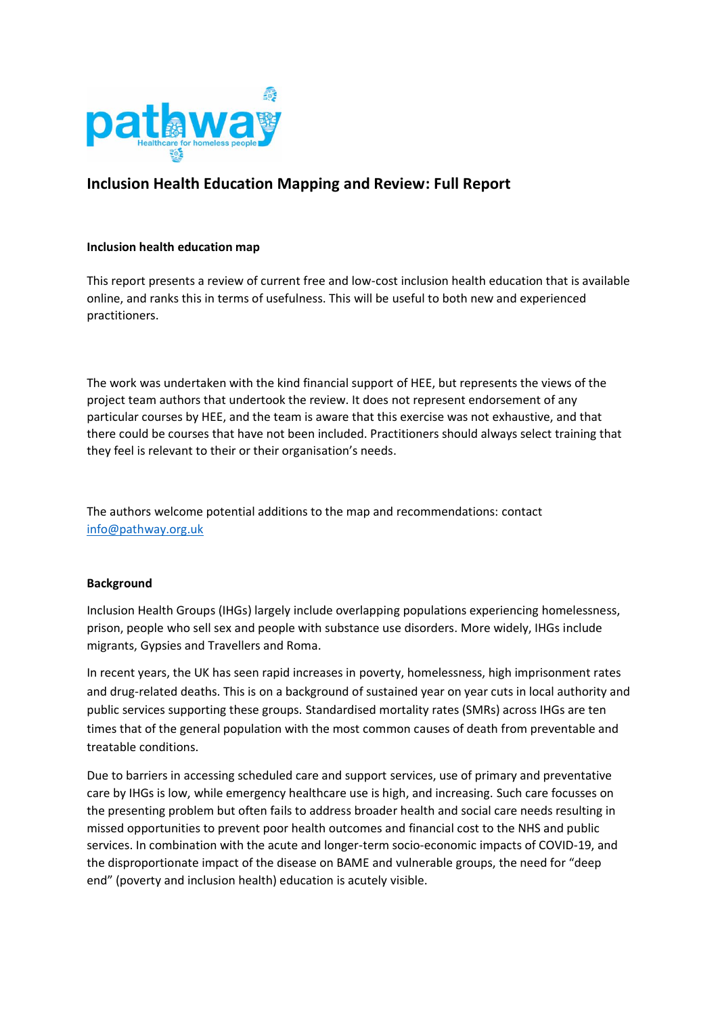

# **Inclusion Health Education Mapping and Review: Full Report**

# **Inclusion health education map**

This report presents a review of current free and low-cost inclusion health education that is available online, and ranks this in terms of usefulness. This will be useful to both new and experienced practitioners.

The work was undertaken with the kind financial support of HEE, but represents the views of the project team authors that undertook the review. It does not represent endorsement of any particular courses by HEE, and the team is aware that this exercise was not exhaustive, and that there could be courses that have not been included. Practitioners should always select training that they feel is relevant to their or their organisation's needs.

The authors welcome potential additions to the map and recommendations: contact [info@pathway.org.uk](mailto:info@pathway.org.uk)

#### **Background**

Inclusion Health Groups (IHGs) largely include overlapping populations experiencing homelessness, prison, people who sell sex and people with substance use disorders. More widely, IHGs include migrants, Gypsies and Travellers and Roma.

In recent years, the UK has seen rapid increases in poverty, homelessness, high imprisonment rates and drug-related deaths. This is on a background of sustained year on year cuts in local authority and public services supporting these groups. Standardised mortality rates (SMRs) across IHGs are ten times that of the general population with the most common causes of death from preventable and treatable conditions.

Due to barriers in accessing scheduled care and support services, use of primary and preventative care by IHGs is low, while emergency healthcare use is high, and increasing. Such care focusses on the presenting problem but often fails to address broader health and social care needs resulting in missed opportunities to prevent poor health outcomes and financial cost to the NHS and public services. In combination with the acute and longer-term socio-economic impacts of COVID-19, and the disproportionate impact of the disease on BAME and vulnerable groups, the need for "deep end" (poverty and inclusion health) education is acutely visible.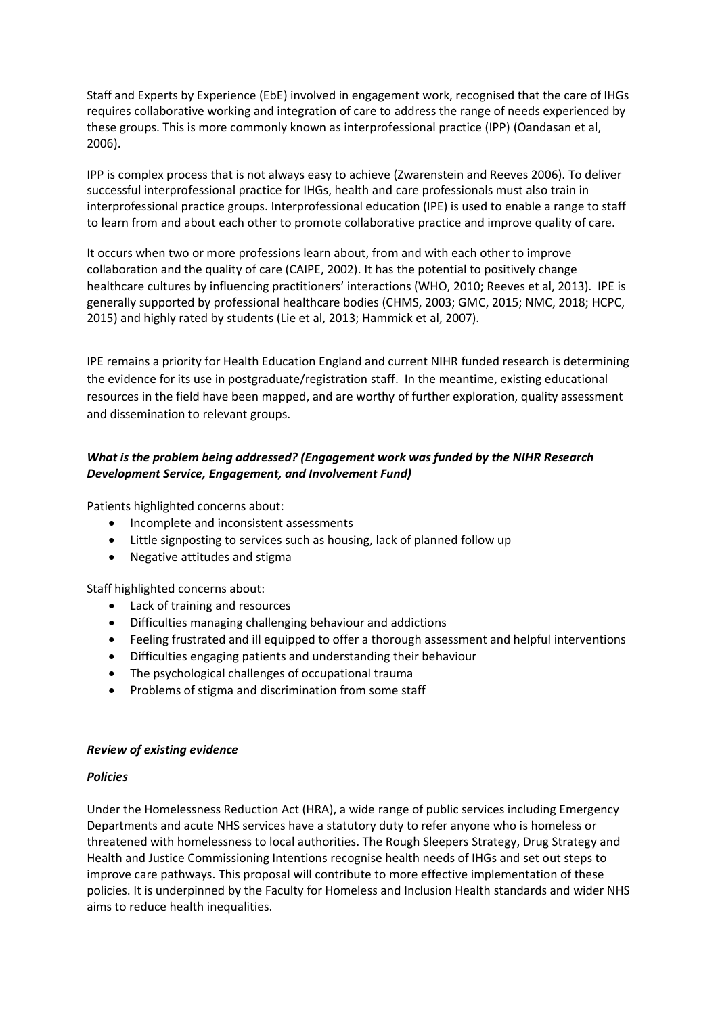Staff and Experts by Experience (EbE) involved in engagement work, recognised that the care of IHGs requires collaborative working and integration of care to address the range of needs experienced by these groups. This is more commonly known as interprofessional practice (IPP) (Oandasan et al, 2006).

IPP is complex process that is not always easy to achieve (Zwarenstein and Reeves 2006). To deliver successful interprofessional practice for IHGs, health and care professionals must also train in interprofessional practice groups. Interprofessional education (IPE) is used to enable a range to staff to learn from and about each other to promote collaborative practice and improve quality of care.

It occurs when two or more professions learn about, from and with each other to improve collaboration and the quality of care (CAIPE, 2002). It has the potential to positively change healthcare cultures by influencing practitioners' interactions (WHO, 2010; Reeves et al, 2013). IPE is generally supported by professional healthcare bodies (CHMS, 2003; GMC, 2015; NMC, 2018; HCPC, 2015) and highly rated by students (Lie et al, 2013; Hammick et al, 2007).

IPE remains a priority for Health Education England and current NIHR funded research is determining the evidence for its use in postgraduate/registration staff. In the meantime, existing educational resources in the field have been mapped, and are worthy of further exploration, quality assessment and dissemination to relevant groups.

# *What is the problem being addressed? (Engagement work was funded by the NIHR Research Development Service, Engagement, and Involvement Fund)*

Patients highlighted concerns about:

- Incomplete and inconsistent assessments
- Little signposting to services such as housing, lack of planned follow up
- Negative attitudes and stigma

Staff highlighted concerns about:

- Lack of training and resources
- Difficulties managing challenging behaviour and addictions
- Feeling frustrated and ill equipped to offer a thorough assessment and helpful interventions
- Difficulties engaging patients and understanding their behaviour
- The psychological challenges of occupational trauma
- Problems of stigma and discrimination from some staff

#### *Review of existing evidence*

#### *Policies*

Under the Homelessness Reduction Act (HRA), a wide range of public services including Emergency Departments and acute NHS services have a statutory duty to refer anyone who is homeless or threatened with homelessness to local authorities. The Rough Sleepers Strategy, Drug Strategy and Health and Justice Commissioning Intentions recognise health needs of IHGs and set out steps to improve care pathways. This proposal will contribute to more effective implementation of these policies. It is underpinned by the Faculty for Homeless and Inclusion Health standards and wider NHS aims to reduce health inequalities.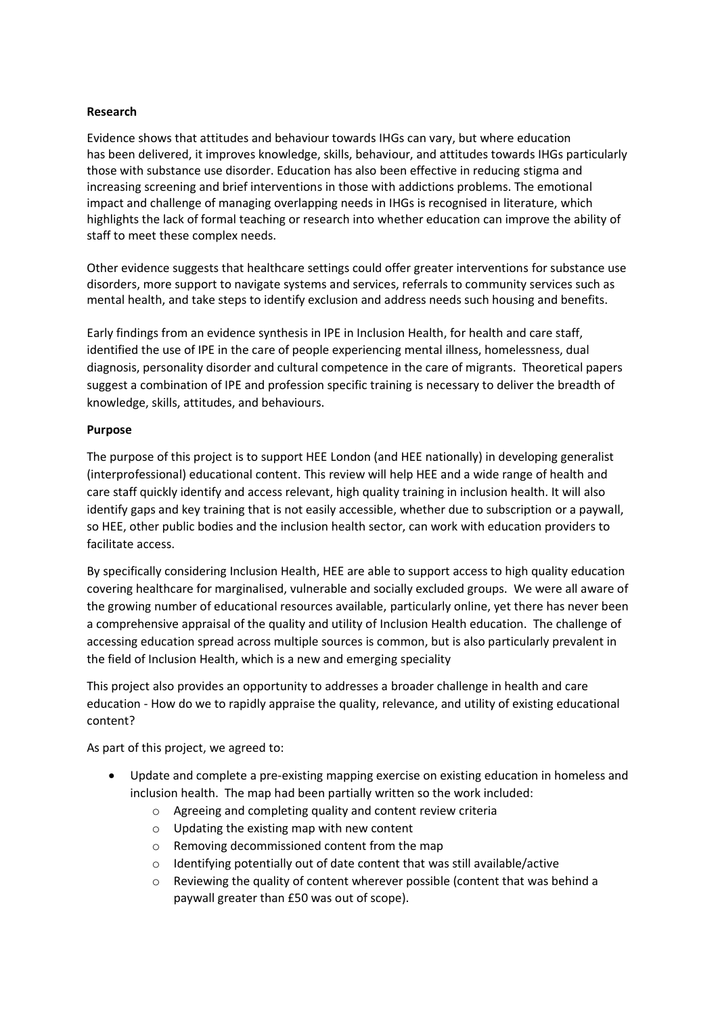### **Research**

Evidence shows that attitudes and behaviour towards IHGs can vary, but where education has been delivered, it improves knowledge, skills, behaviour, and attitudes towards IHGs particularly those with substance use disorder. Education has also been effective in reducing stigma and increasing screening and brief interventions in those with addictions problems. The emotional impact and challenge of managing overlapping needs in IHGs is recognised in literature, which highlights the lack of formal teaching or research into whether education can improve the ability of staff to meet these complex needs.

Other evidence suggests that healthcare settings could offer greater interventions for substance use disorders, more support to navigate systems and services, referrals to community services such as mental health, and take steps to identify exclusion and address needs such housing and benefits.

Early findings from an evidence synthesis in IPE in Inclusion Health, for health and care staff, identified the use of IPE in the care of people experiencing mental illness, homelessness, dual diagnosis, personality disorder and cultural competence in the care of migrants. Theoretical papers suggest a combination of IPE and profession specific training is necessary to deliver the breadth of knowledge, skills, attitudes, and behaviours.

# **Purpose**

The purpose of this project is to support HEE London (and HEE nationally) in developing generalist (interprofessional) educational content. This review will help HEE and a wide range of health and care staff quickly identify and access relevant, high quality training in inclusion health. It will also identify gaps and key training that is not easily accessible, whether due to subscription or a paywall, so HEE, other public bodies and the inclusion health sector, can work with education providers to facilitate access.

By specifically considering Inclusion Health, HEE are able to support access to high quality education covering healthcare for marginalised, vulnerable and socially excluded groups. We were all aware of the growing number of educational resources available, particularly online, yet there has never been a comprehensive appraisal of the quality and utility of Inclusion Health education. The challenge of accessing education spread across multiple sources is common, but is also particularly prevalent in the field of Inclusion Health, which is a new and emerging speciality

This project also provides an opportunity to addresses a broader challenge in health and care education - How do we to rapidly appraise the quality, relevance, and utility of existing educational content?

As part of this project, we agreed to:

- Update and complete a pre-existing mapping exercise on existing education in homeless and inclusion health. The map had been partially written so the work included:
	- o Agreeing and completing quality and content review criteria
	- o Updating the existing map with new content
	- o Removing decommissioned content from the map
	- o Identifying potentially out of date content that was still available/active
	- o Reviewing the quality of content wherever possible (content that was behind a paywall greater than £50 was out of scope).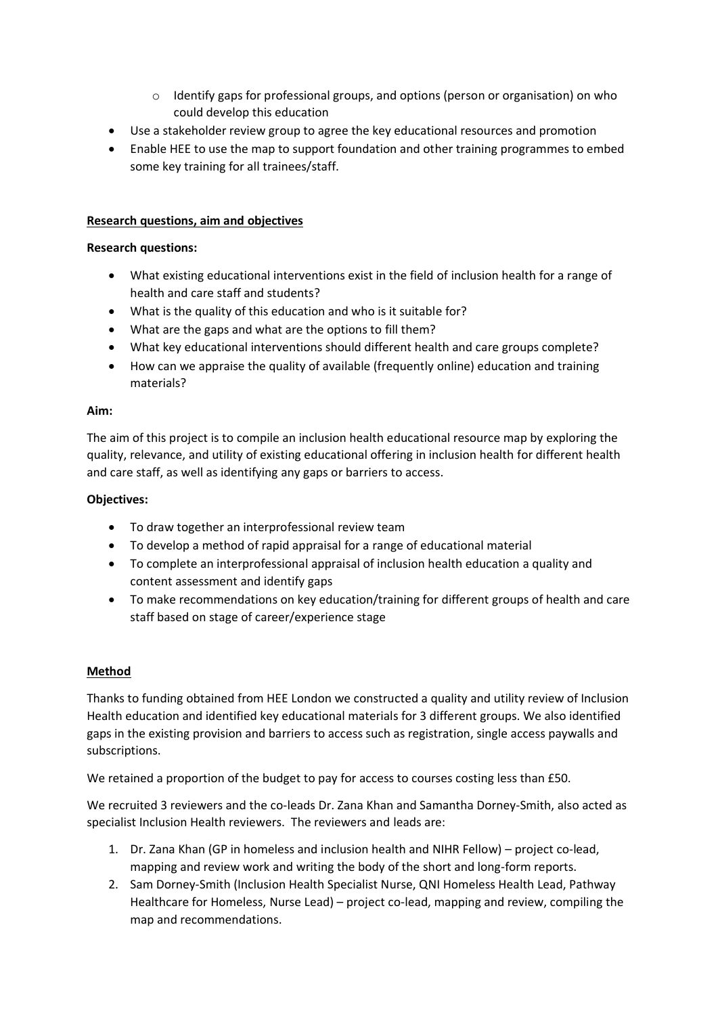- $\circ$  Identify gaps for professional groups, and options (person or organisation) on who could develop this education
- Use a stakeholder review group to agree the key educational resources and promotion
- Enable HEE to use the map to support foundation and other training programmes to embed some key training for all trainees/staff.

# **Research questions, aim and objectives**

### **Research questions:**

- What existing educational interventions exist in the field of inclusion health for a range of health and care staff and students?
- What is the quality of this education and who is it suitable for?
- What are the gaps and what are the options to fill them?
- What key educational interventions should different health and care groups complete?
- How can we appraise the quality of available (frequently online) education and training materials?

#### **Aim:**

The aim of this project is to compile an inclusion health educational resource map by exploring the quality, relevance, and utility of existing educational offering in inclusion health for different health and care staff, as well as identifying any gaps or barriers to access.

# **Objectives:**

- To draw together an interprofessional review team
- To develop a method of rapid appraisal for a range of educational material
- To complete an interprofessional appraisal of inclusion health education a quality and content assessment and identify gaps
- To make recommendations on key education/training for different groups of health and care staff based on stage of career/experience stage

#### **Method**

Thanks to funding obtained from HEE London we constructed a quality and utility review of Inclusion Health education and identified key educational materials for 3 different groups. We also identified gaps in the existing provision and barriers to access such as registration, single access paywalls and subscriptions.

We retained a proportion of the budget to pay for access to courses costing less than £50.

We recruited 3 reviewers and the co-leads Dr. Zana Khan and Samantha Dorney-Smith, also acted as specialist Inclusion Health reviewers. The reviewers and leads are:

- 1. Dr. Zana Khan (GP in homeless and inclusion health and NIHR Fellow) project co-lead, mapping and review work and writing the body of the short and long-form reports.
- 2. Sam Dorney-Smith (Inclusion Health Specialist Nurse, QNI Homeless Health Lead, Pathway Healthcare for Homeless, Nurse Lead) – project co-lead, mapping and review, compiling the map and recommendations.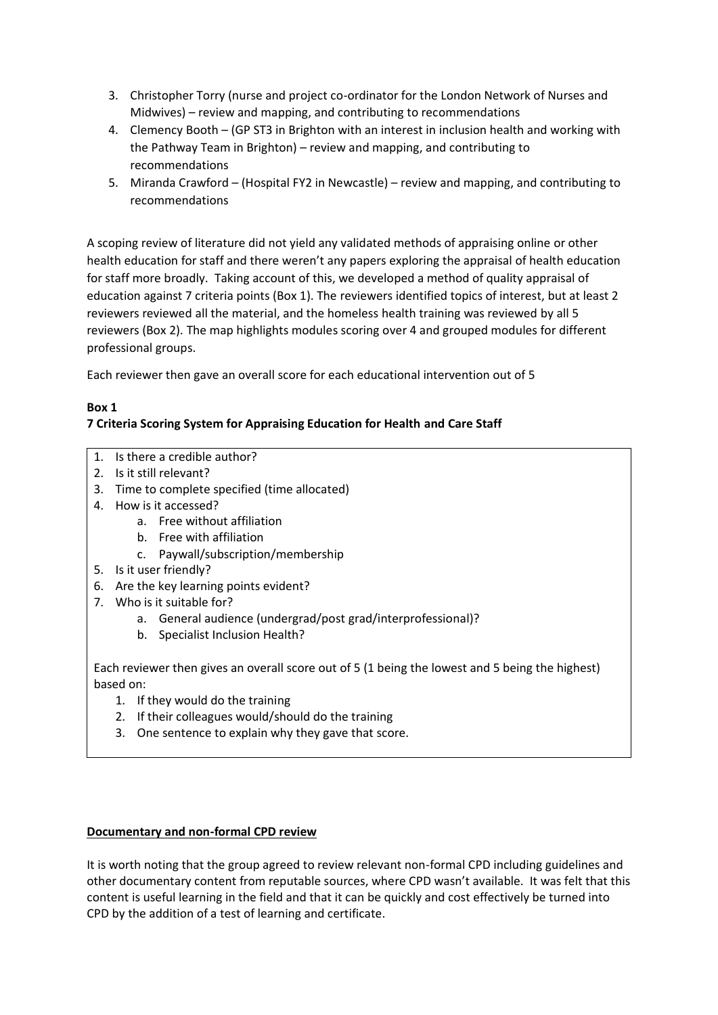- 3. Christopher Torry (nurse and project co-ordinator for the London Network of Nurses and Midwives) – review and mapping, and contributing to recommendations
- 4. Clemency Booth (GP ST3 in Brighton with an interest in inclusion health and working with the Pathway Team in Brighton) – review and mapping, and contributing to recommendations
- 5. Miranda Crawford (Hospital FY2 in Newcastle) review and mapping, and contributing to recommendations

A scoping review of literature did not yield any validated methods of appraising online or other health education for staff and there weren't any papers exploring the appraisal of health education for staff more broadly. Taking account of this, we developed a method of quality appraisal of education against 7 criteria points (Box 1). The reviewers identified topics of interest, but at least 2 reviewers reviewed all the material, and the homeless health training was reviewed by all 5 reviewers (Box 2). The map highlights modules scoring over 4 and grouped modules for different professional groups.

Each reviewer then gave an overall score for each educational intervention out of 5

# **Box 1**

# **7 Criteria Scoring System for Appraising Education for Health and Care Staff**

- 1. Is there a credible author?
- 2. Is it still relevant?
- 3. Time to complete specified (time allocated)
- 4. How is it accessed?
	- a. Free without affiliation
	- b. Free with affiliation
	- c. Paywall/subscription/membership
- 5. Is it user friendly?
- 6. Are the key learning points evident?
- 7. Who is it suitable for?
	- a. General audience (undergrad/post grad/interprofessional)?
	- b. Specialist Inclusion Health?

Each reviewer then gives an overall score out of 5 (1 being the lowest and 5 being the highest) based on:

- 1. If they would do the training
- 2. If their colleagues would/should do the training
- 3. One sentence to explain why they gave that score.

# **Documentary and non-formal CPD review**

It is worth noting that the group agreed to review relevant non-formal CPD including guidelines and other documentary content from reputable sources, where CPD wasn't available. It was felt that this content is useful learning in the field and that it can be quickly and cost effectively be turned into CPD by the addition of a test of learning and certificate.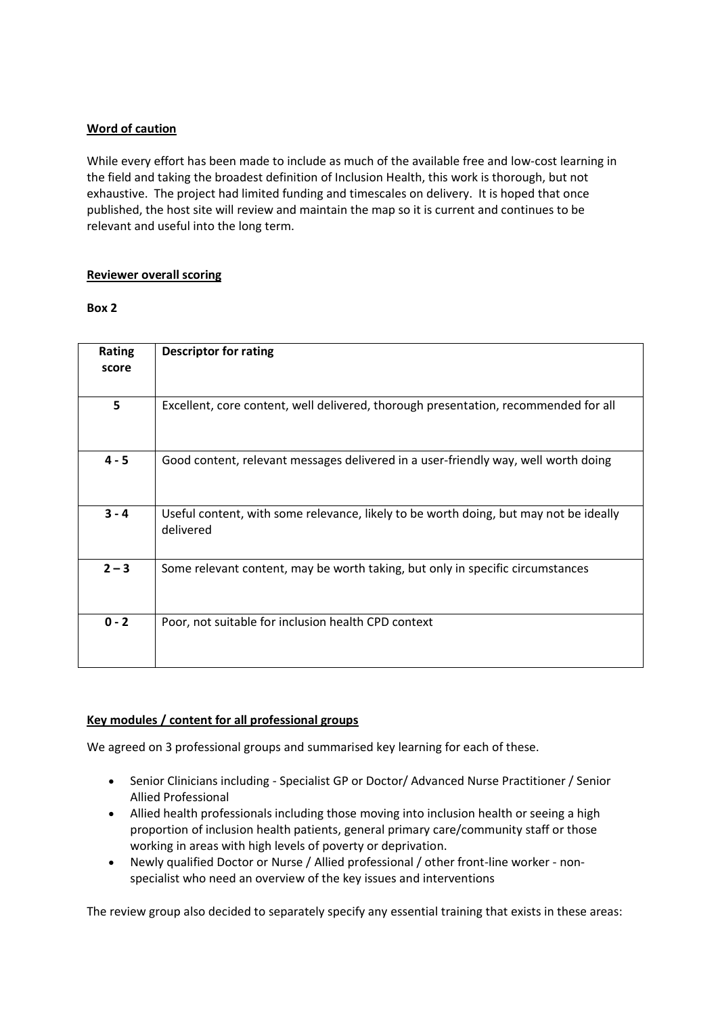# **Word of caution**

While every effort has been made to include as much of the available free and low-cost learning in the field and taking the broadest definition of Inclusion Health, this work is thorough, but not exhaustive. The project had limited funding and timescales on delivery. It is hoped that once published, the host site will review and maintain the map so it is current and continues to be relevant and useful into the long term.

# **Reviewer overall scoring**

#### **Box 2**

| Rating<br>score | <b>Descriptor for rating</b>                                                                       |
|-----------------|----------------------------------------------------------------------------------------------------|
| 5               | Excellent, core content, well delivered, thorough presentation, recommended for all                |
| $4 - 5$         | Good content, relevant messages delivered in a user-friendly way, well worth doing                 |
| $3 - 4$         | Useful content, with some relevance, likely to be worth doing, but may not be ideally<br>delivered |
| $2 - 3$         | Some relevant content, may be worth taking, but only in specific circumstances                     |
| $0 - 2$         | Poor, not suitable for inclusion health CPD context                                                |

# **Key modules / content for all professional groups**

We agreed on 3 professional groups and summarised key learning for each of these.

- Senior Clinicians including Specialist GP or Doctor/ Advanced Nurse Practitioner / Senior Allied Professional
- Allied health professionals including those moving into inclusion health or seeing a high proportion of inclusion health patients, general primary care/community staff or those working in areas with high levels of poverty or deprivation.
- Newly qualified Doctor or Nurse / Allied professional / other front-line worker nonspecialist who need an overview of the key issues and interventions

The review group also decided to separately specify any essential training that exists in these areas: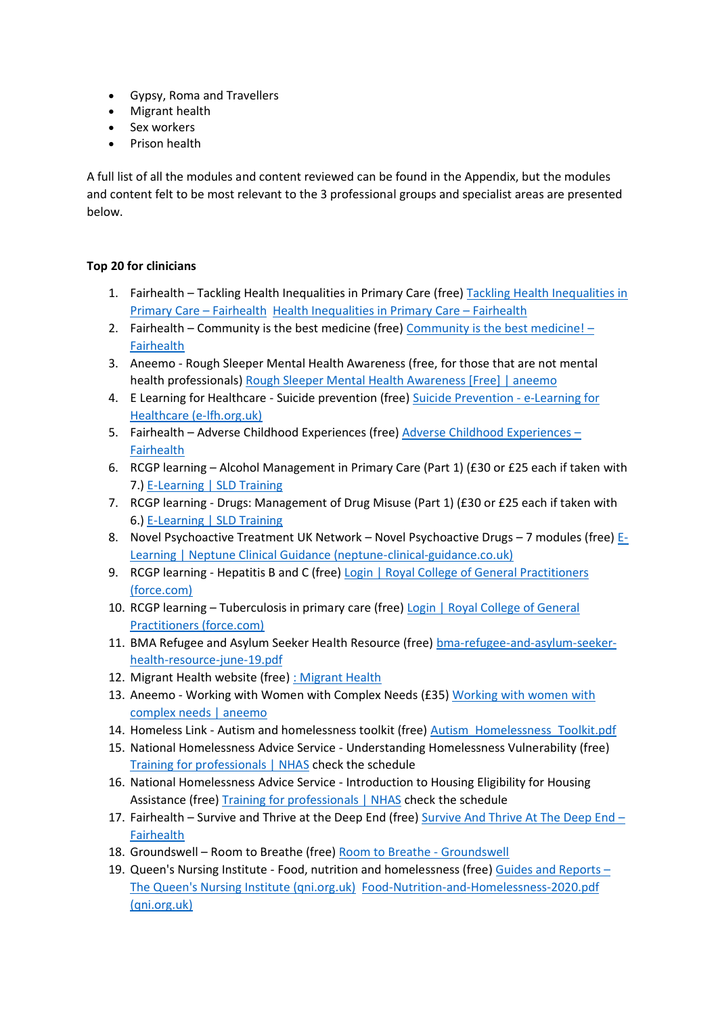- Gypsy, Roma and Travellers
- Migrant health
- Sex workers
- Prison health

A full list of all the modules and content reviewed can be found in the Appendix, but the modules and content felt to be most relevant to the 3 professional groups and specialist areas are presented below.

# **Top 20 for clinicians**

- 1. Fairhealth Tackling Health Inequalities in Primary Care (free) [Tackling Health Inequalities in](https://fairhealth.org.uk/modules/tackling-health-inequalities-in-primary-care/)  [Primary Care](https://fairhealth.org.uk/modules/tackling-health-inequalities-in-primary-care/) – Fairhealth [Health Inequalities in Primary Care](https://fairhealth.org.uk/modules/health-inequalities-in-primary-care/) – Fairhealth
- 2. Fairhealth Community is the best medicine (free) [Community is the best medicine!](https://fairhealth.org.uk/modules/community-is-the-best-medicine/)  [Fairhealth](https://fairhealth.org.uk/modules/community-is-the-best-medicine/)
- 3. Aneemo Rough Sleeper Mental Health Awareness (free, for those that are not mental health professionals) [Rough Sleeper Mental Health Awareness \[Free\] | aneemo](https://academy.aneemo.com/p/rough-sleeper-mental-health-awareness-free)
- 4. E Learning for Healthcare Suicide prevention (free) [Suicide Prevention -](https://www.e-lfh.org.uk/programmes/suicide-prevention/) e-Learning for [Healthcare \(e-lfh.org.uk\)](https://www.e-lfh.org.uk/programmes/suicide-prevention/)
- 5. Fairhealth [Adverse Childhood Experiences](https://fairhealth.org.uk/modules/adverse-childhood-experiences/) (free) Adverse Childhood Experiences [Fairhealth](https://fairhealth.org.uk/modules/adverse-childhood-experiences/)
- 6. RCGP learning Alcohol Management in Primary Care (Part 1) (£30 or £25 each if taken with 7.) [E-Learning | SLD Training](https://www.sldtraining.co.uk/e-learning)
- 7. RCGP learning Drugs: Management of Drug Misuse (Part 1) (£30 or £25 each if taken with 6.) [E-Learning | SLD Training](https://www.sldtraining.co.uk/e-learning)
- 8. Novel Psychoactive Treatment UK Network Novel Psychoactive Drugs 7 modules (free) [E-](http://neptune-clinical-guidance.co.uk/e-learning/)[Learning | Neptune Clinical Guidance \(neptune-clinical-guidance.co.uk\)](http://neptune-clinical-guidance.co.uk/e-learning/)
- 9. RCGP learning Hepatitis B and C (free) Login | Royal College of General Practitioners [\(force.com\)](https://rcgpportal.force.com/rcgp_portal_login?startURL=%2Fidp%2Flogin%3Fapp%3D0sp0Y0000008OZf%26RelayState%3Dhttps%253A%252F%252Felearning.rcgp.org.uk%252Fcourse%252Fview.php%253Fid%253D279%26binding%3DHttpPost%26inresponseto%3D_e2017598517985c5294f3c1a6895b57c5b6744100f)
- 10. RCGP learning Tuberculosis in primary care (free) Login | [Royal College of General](https://rcgpportal.force.com/rcgp_portal_login?startURL=%2Fidp%2Flogin%3Fapp%3D0sp0Y0000008OZf%26RelayState%3Dhttps%253A%252F%252Felearning.rcgp.org.uk%252Fcourse%252Fview.php%253Fid%253D107%26binding%3DHttpPost%26inresponseto%3D_c37d7445c292ea33459dc8cc114f7137bb9630135e)  [Practitioners \(force.com\)](https://rcgpportal.force.com/rcgp_portal_login?startURL=%2Fidp%2Flogin%3Fapp%3D0sp0Y0000008OZf%26RelayState%3Dhttps%253A%252F%252Felearning.rcgp.org.uk%252Fcourse%252Fview.php%253Fid%253D107%26binding%3DHttpPost%26inresponseto%3D_c37d7445c292ea33459dc8cc114f7137bb9630135e)
- 11. BMA Refugee and Asylum Seeker Health Resource (free) [bma-refugee-and-asylum-seeker](https://www.bma.org.uk/media/1838/bma-refugee-and-asylum-seeker-health-resource-june-19.pdf)[health-resource-june-19.pdf](https://www.bma.org.uk/media/1838/bma-refugee-and-asylum-seeker-health-resource-june-19.pdf)
- 12. Migrant Health website (free) [: Migrant Health](https://migrant.health/)
- 13. Aneemo Working with Women with Complex Needs (£35) Working with women with [complex needs | aneemo](https://academy.aneemo.com/p/working-with-women-multiple-disadvantage)
- 14. Homeless Link Autism and homelessness toolkit (free) [Autism\\_Homelessness\\_Toolkit.pdf](https://www.homeless.org.uk/sites/default/files/site-attachments/Autism_Homelessness_Toolkit.pdf)
- 15. National Homelessness Advice Service Understanding Homelessness Vulnerability (free) [Training for professionals | NHAS](https://www.nhas.org.uk/training/webinars) check the schedule
- 16. National Homelessness Advice Service Introduction to Housing Eligibility for Housing Assistance (free) [Training for professionals | NHAS](https://www.nhas.org.uk/training/webinars) check the schedule
- 17. Fairhealth Survive and Thrive at the Deep End (free) [Survive And Thrive At The Deep End](https://fairhealth.org.uk/modules/survive-and-thrive-at-the-deep-end/)  [Fairhealth](https://fairhealth.org.uk/modules/survive-and-thrive-at-the-deep-end/)
- 18. Groundswell Room to Breathe (free) [Room to Breathe -](https://groundswell.org.uk/what-we-do/peer-research/room-to-breathe/#:~:text=Groundswell) Groundswell
- 19. Queen's Nursing Institute Food, nutrition and homelessness (free) [Guides and Reports](https://www.qni.org.uk/nursing-in-the-community/homeless-health-programme/homeless-health-guides-reports/)  [The Queen's Nursing Institute \(qni.org.uk\)](https://www.qni.org.uk/nursing-in-the-community/homeless-health-programme/homeless-health-guides-reports/) [Food-Nutrition-and-Homelessness-2020.pdf](https://www.qni.org.uk/wp-content/uploads/2020/07/Food-Nutrition-and-Homelessness-2020.pdf)  [\(qni.org.uk\)](https://www.qni.org.uk/wp-content/uploads/2020/07/Food-Nutrition-and-Homelessness-2020.pdf)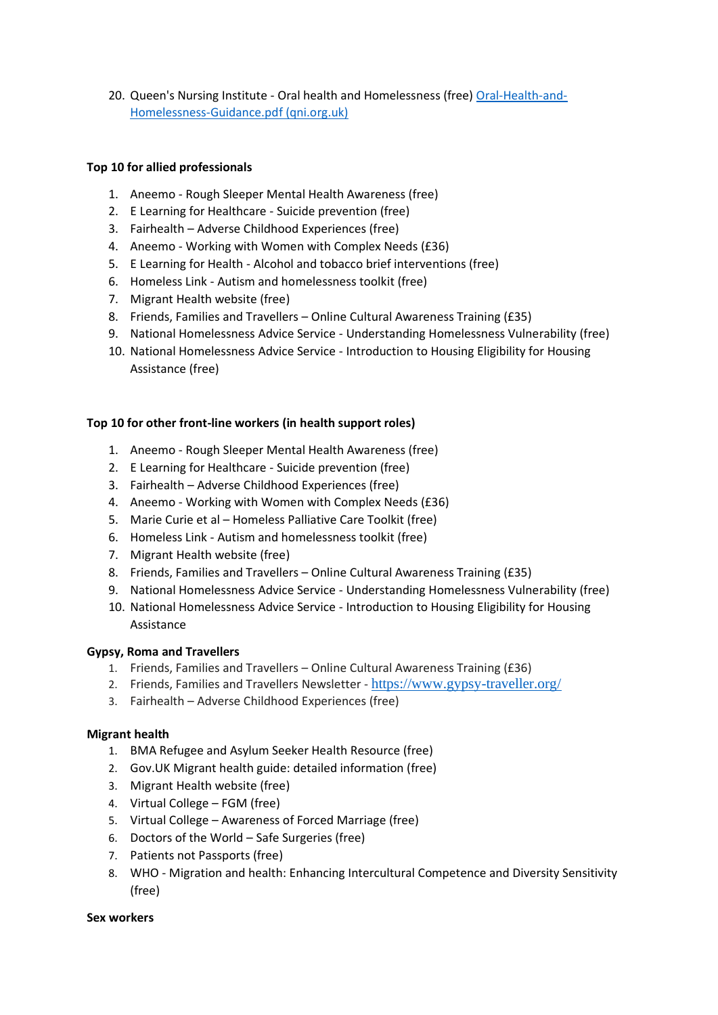20. Queen's Nursing Institute - Oral health and Homelessness (free) [Oral-Health-and-](https://www.qni.org.uk/wp-content/uploads/2016/09/Oral-Health-and-Homelessness-Guidance.pdf)[Homelessness-Guidance.pdf \(qni.org.uk\)](https://www.qni.org.uk/wp-content/uploads/2016/09/Oral-Health-and-Homelessness-Guidance.pdf)

# **Top 10 for allied professionals**

- 1. Aneemo Rough Sleeper Mental Health Awareness (free)
- 2. E Learning for Healthcare Suicide prevention (free)
- 3. Fairhealth Adverse Childhood Experiences (free)
- 4. Aneemo Working with Women with Complex Needs (£36)
- 5. E Learning for Health Alcohol and tobacco brief interventions (free)
- 6. Homeless Link Autism and homelessness toolkit (free)
- 7. Migrant Health website (free)
- 8. Friends, Families and Travellers Online Cultural Awareness Training (£35)
- 9. National Homelessness Advice Service Understanding Homelessness Vulnerability (free)
- 10. National Homelessness Advice Service Introduction to Housing Eligibility for Housing Assistance (free)

#### **Top 10 for other front-line workers (in health support roles)**

- 1. Aneemo Rough Sleeper Mental Health Awareness (free)
- 2. E Learning for Healthcare Suicide prevention (free)
- 3. Fairhealth Adverse Childhood Experiences (free)
- 4. Aneemo Working with Women with Complex Needs (£36)
- 5. Marie Curie et al Homeless Palliative Care Toolkit (free)
- 6. Homeless Link Autism and homelessness toolkit (free)
- 7. Migrant Health website (free)
- 8. Friends, Families and Travellers Online Cultural Awareness Training (£35)
- 9. National Homelessness Advice Service Understanding Homelessness Vulnerability (free)
- 10. National Homelessness Advice Service Introduction to Housing Eligibility for Housing Assistance

#### **Gypsy, Roma and Travellers**

- 1. Friends, Families and Travellers Online Cultural Awareness Training (£36)
- 2. Friends, Families and Travellers Newsletter <https://www.gypsy-traveller.org/>
- 3. Fairhealth Adverse Childhood Experiences (free)

#### **Migrant health**

- 1. BMA Refugee and Asylum Seeker Health Resource (free)
- 2. Gov.UK Migrant health guide: detailed information (free)
- 3. Migrant Health website (free)
- 4. Virtual College FGM (free)
- 5. Virtual College Awareness of Forced Marriage (free)
- 6. Doctors of the World Safe Surgeries (free)
- 7. Patients not Passports (free)
- 8. WHO Migration and health: Enhancing Intercultural Competence and Diversity Sensitivity (free)

#### **Sex workers**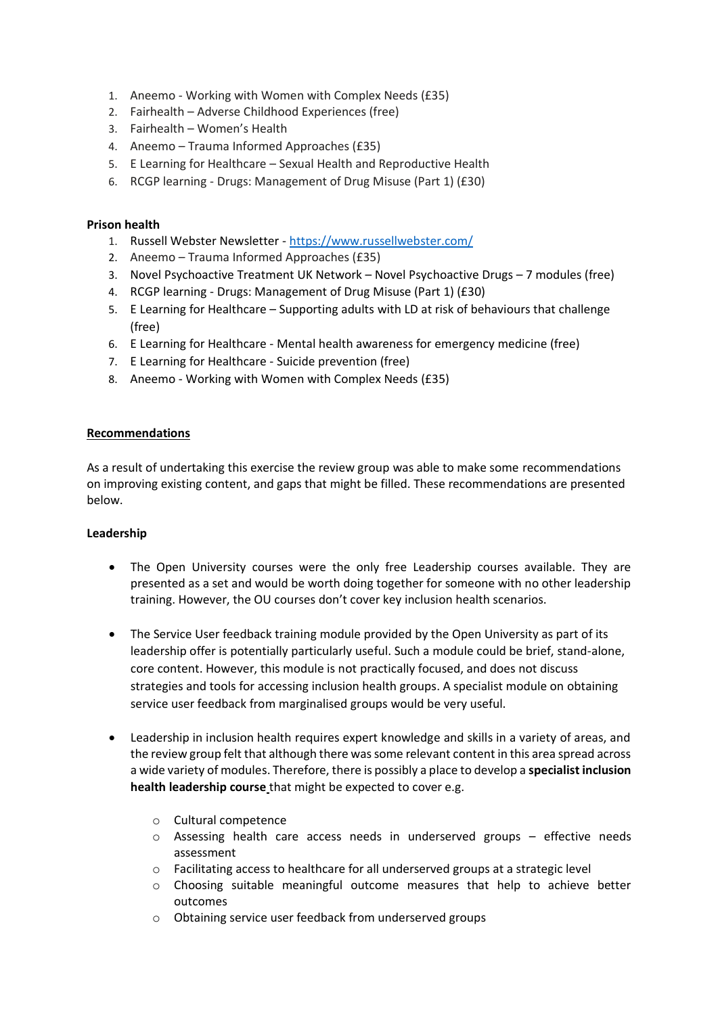- 1. Aneemo Working with Women with Complex Needs (£35)
- 2. Fairhealth Adverse Childhood Experiences (free)
- 3. Fairhealth Women's Health
- 4. Aneemo Trauma Informed Approaches (£35)
- 5. E Learning for Healthcare Sexual Health and Reproductive Health
- 6. RCGP learning Drugs: Management of Drug Misuse (Part 1) (£30)

# **Prison health**

- 1. Russell Webster Newsletter <https://www.russellwebster.com/>
- 2. Aneemo Trauma Informed Approaches (£35)
- 3. Novel Psychoactive Treatment UK Network Novel Psychoactive Drugs 7 modules (free)
- 4. RCGP learning Drugs: Management of Drug Misuse (Part 1) (£30)
- 5. E Learning for Healthcare Supporting adults with LD at risk of behaviours that challenge (free)
- 6. E Learning for Healthcare Mental health awareness for emergency medicine (free)
- 7. E Learning for Healthcare Suicide prevention (free)
- 8. Aneemo Working with Women with Complex Needs (£35)

# **Recommendations**

As a result of undertaking this exercise the review group was able to make some recommendations on improving existing content, and gaps that might be filled. These recommendations are presented below.

#### **Leadership**

- The Open University courses were the only free Leadership courses available. They are presented as a set and would be worth doing together for someone with no other leadership training. However, the OU courses don't cover key inclusion health scenarios.
- The Service User feedback training module provided by the Open University as part of its leadership offer is potentially particularly useful. Such a module could be brief, stand-alone, core content. However, this module is not practically focused, and does not discuss strategies and tools for accessing inclusion health groups. A specialist module on obtaining service user feedback from marginalised groups would be very useful.
- Leadership in inclusion health requires expert knowledge and skills in a variety of areas, and the review group felt that although there was some relevant content in this area spread across a wide variety of modules. Therefore, there is possibly a place to develop a **specialist inclusion health leadership course** that might be expected to cover e.g.
	- o Cultural competence
	- o Assessing health care access needs in underserved groups effective needs assessment
	- $\circ$  Facilitating access to healthcare for all underserved groups at a strategic level
	- o Choosing suitable meaningful outcome measures that help to achieve better outcomes
	- o Obtaining service user feedback from underserved groups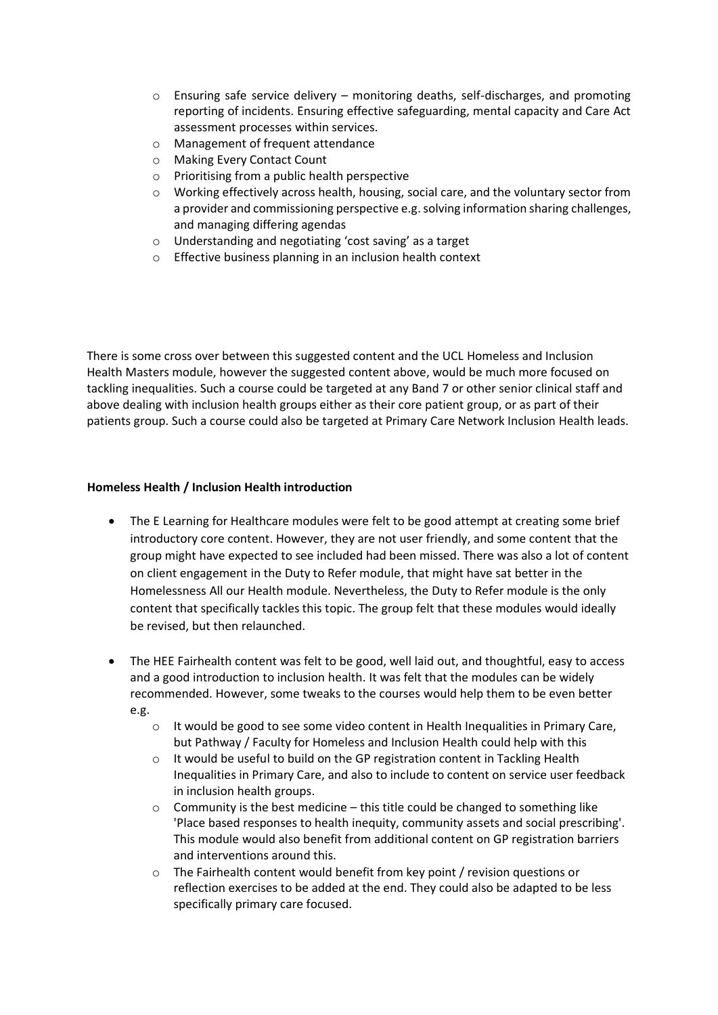- $\circ$  Ensuring safe service delivery monitoring deaths, self-discharges, and promoting reporting of incidents. Ensuring effective safeguarding, mental capacity and Care Act assessment processes within services.
- o Management of frequent attendance
- o Making Every Contact Count
- o Prioritising from a public health perspective
- $\circ$  Working effectively across health, housing, social care, and the voluntary sector from a provider and commissioning perspective e.g. solving information sharing challenges, and managing differing agendas
- o Understanding and negotiating 'cost saving' as a target
- o Effective business planning in an inclusion health context

There is some cross over between this suggested content and the UCL Homeless and Inclusion Health Masters module, however the suggested content above, would be much more focused on tackling inequalities. Such a course could be targeted at any Band 7 or other senior clinical staff and above dealing with inclusion health groups either as their core patient group, or as part of their patients group. Such a course could also be targeted at Primary Care Network Inclusion Health leads.

# **Homeless Health / Inclusion Health introduction**

- The E Learning for Healthcare modules were felt to be good attempt at creating some brief introductory core content. However, they are not user friendly, and some content that the group might have expected to see included had been missed. There was also a lot of content on client engagement in the Duty to Refer module, that might have sat better in the Homelessness All our Health module. Nevertheless, the Duty to Refer module is the only content that specifically tackles this topic. The group felt that these modules would ideally be revised, but then relaunched.
- The HEE Fairhealth content was felt to be good, well laid out, and thoughtful, easy to access and a good introduction to inclusion health. It was felt that the modules can be widely recommended. However, some tweaks to the courses would help them to be even better e.g.
	- o It would be good to see some video content in Health Inequalities in Primary Care, but Pathway / Faculty for Homeless and Inclusion Health could help with this
	- o It would be useful to build on the GP registration content in Tackling Health Inequalities in Primary Care, and also to include to content on service user feedback in inclusion health groups.
	- $\circ$  Community is the best medicine this title could be changed to something like 'Place based responses to health inequity, community assets and social prescribing'. This module would also benefit from additional content on GP registration barriers and interventions around this.
	- $\circ$  The Fairhealth content would benefit from key point / revision questions or reflection exercises to be added at the end. They could also be adapted to be less specifically primary care focused.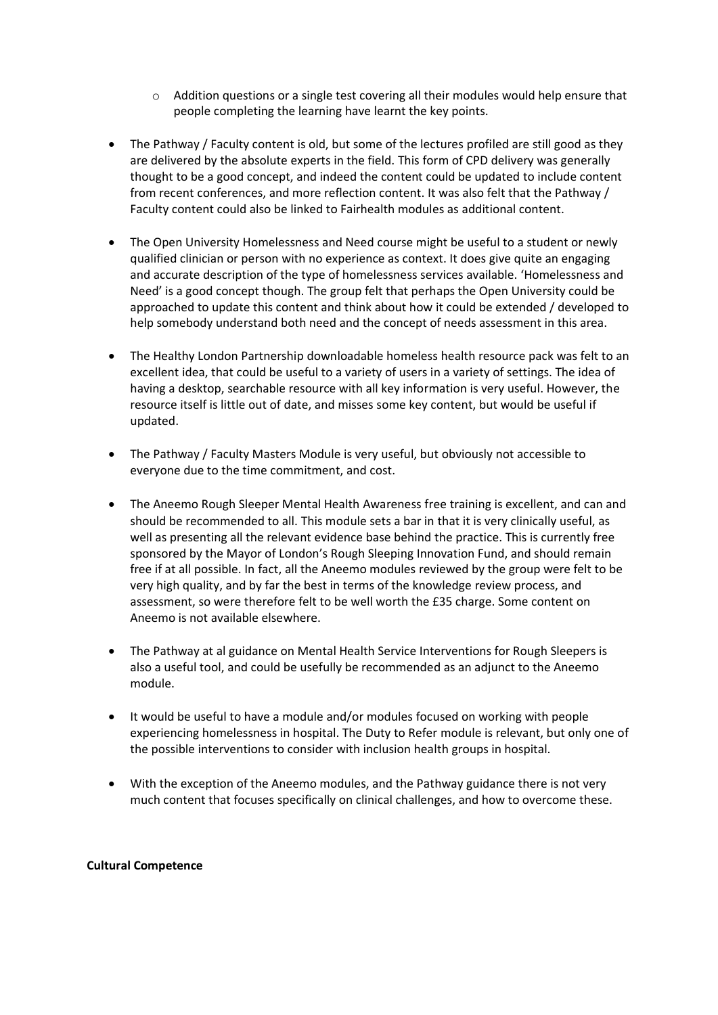- $\circ$  Addition questions or a single test covering all their modules would help ensure that people completing the learning have learnt the key points.
- The Pathway / Faculty content is old, but some of the lectures profiled are still good as they are delivered by the absolute experts in the field. This form of CPD delivery was generally thought to be a good concept, and indeed the content could be updated to include content from recent conferences, and more reflection content. It was also felt that the Pathway / Faculty content could also be linked to Fairhealth modules as additional content.
- The Open University Homelessness and Need course might be useful to a student or newly qualified clinician or person with no experience as context. It does give quite an engaging and accurate description of the type of homelessness services available. 'Homelessness and Need' is a good concept though. The group felt that perhaps the Open University could be approached to update this content and think about how it could be extended / developed to help somebody understand both need and the concept of needs assessment in this area.
- The Healthy London Partnership downloadable homeless health resource pack was felt to an excellent idea, that could be useful to a variety of users in a variety of settings. The idea of having a desktop, searchable resource with all key information is very useful. However, the resource itself is little out of date, and misses some key content, but would be useful if updated.
- The Pathway / Faculty Masters Module is very useful, but obviously not accessible to everyone due to the time commitment, and cost.
- The Aneemo Rough Sleeper Mental Health Awareness free training is excellent, and can and should be recommended to all. This module sets a bar in that it is very clinically useful, as well as presenting all the relevant evidence base behind the practice. This is currently free sponsored by the Mayor of London's Rough Sleeping Innovation Fund, and should remain free if at all possible. In fact, all the Aneemo modules reviewed by the group were felt to be very high quality, and by far the best in terms of the knowledge review process, and assessment, so were therefore felt to be well worth the £35 charge. Some content on Aneemo is not available elsewhere.
- The Pathway at al guidance on Mental Health Service Interventions for Rough Sleepers is also a useful tool, and could be usefully be recommended as an adjunct to the Aneemo module.
- It would be useful to have a module and/or modules focused on working with people experiencing homelessness in hospital. The Duty to Refer module is relevant, but only one of the possible interventions to consider with inclusion health groups in hospital.
- With the exception of the Aneemo modules, and the Pathway guidance there is not very much content that focuses specifically on clinical challenges, and how to overcome these.

#### **Cultural Competence**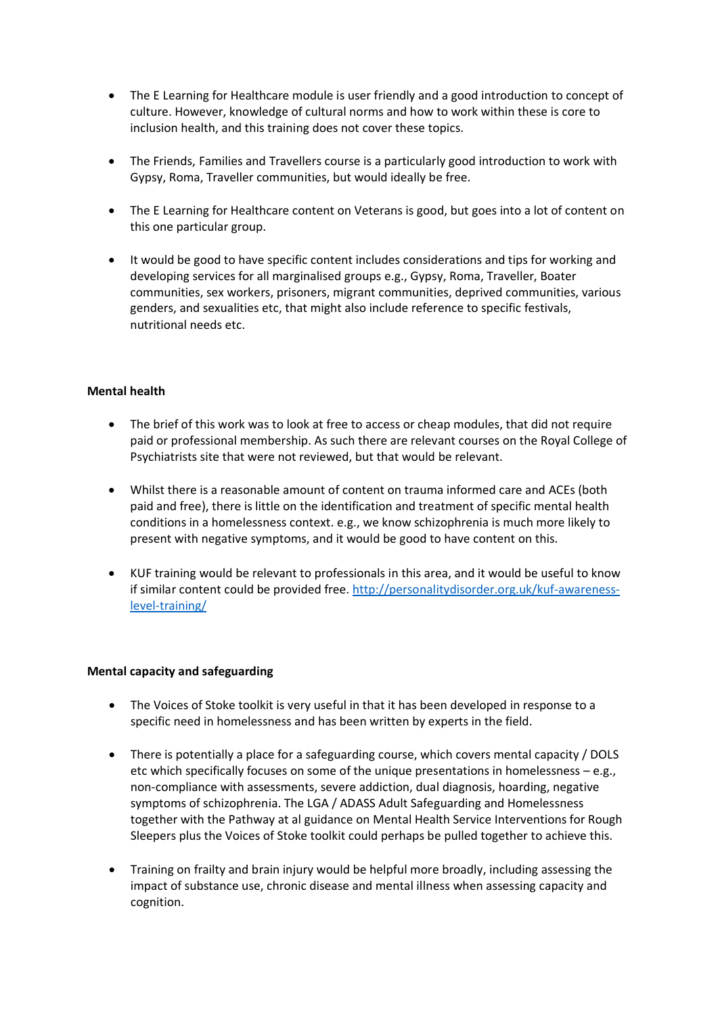- The E Learning for Healthcare module is user friendly and a good introduction to concept of culture. However, knowledge of cultural norms and how to work within these is core to inclusion health, and this training does not cover these topics.
- The Friends, Families and Travellers course is a particularly good introduction to work with Gypsy, Roma, Traveller communities, but would ideally be free.
- The E Learning for Healthcare content on Veterans is good, but goes into a lot of content on this one particular group.
- It would be good to have specific content includes considerations and tips for working and developing services for all marginalised groups e.g., Gypsy, Roma, Traveller, Boater communities, sex workers, prisoners, migrant communities, deprived communities, various genders, and sexualities etc, that might also include reference to specific festivals, nutritional needs etc.

# **Mental health**

- The brief of this work was to look at free to access or cheap modules, that did not require paid or professional membership. As such there are relevant courses on the Royal College of Psychiatrists site that were not reviewed, but that would be relevant.
- Whilst there is a reasonable amount of content on trauma informed care and ACEs (both paid and free), there is little on the identification and treatment of specific mental health conditions in a homelessness context. e.g., we know schizophrenia is much more likely to present with negative symptoms, and it would be good to have content on this.
- KUF training would be relevant to professionals in this area, and it would be useful to know if similar content could be provided free. [http://personalitydisorder.org.uk/kuf-awareness](http://personalitydisorder.org.uk/kuf-awareness-level-training/)[level-training/](http://personalitydisorder.org.uk/kuf-awareness-level-training/)

#### **Mental capacity and safeguarding**

- The Voices of Stoke toolkit is very useful in that it has been developed in response to a specific need in homelessness and has been written by experts in the field.
- There is potentially a place for a safeguarding course, which covers mental capacity / DOLS etc which specifically focuses on some of the unique presentations in homelessness – e.g., non-compliance with assessments, severe addiction, dual diagnosis, hoarding, negative symptoms of schizophrenia. The LGA / ADASS Adult Safeguarding and Homelessness together with the Pathway at al guidance on Mental Health Service Interventions for Rough Sleepers plus the Voices of Stoke toolkit could perhaps be pulled together to achieve this.
- Training on frailty and brain injury would be helpful more broadly, including assessing the impact of substance use, chronic disease and mental illness when assessing capacity and cognition.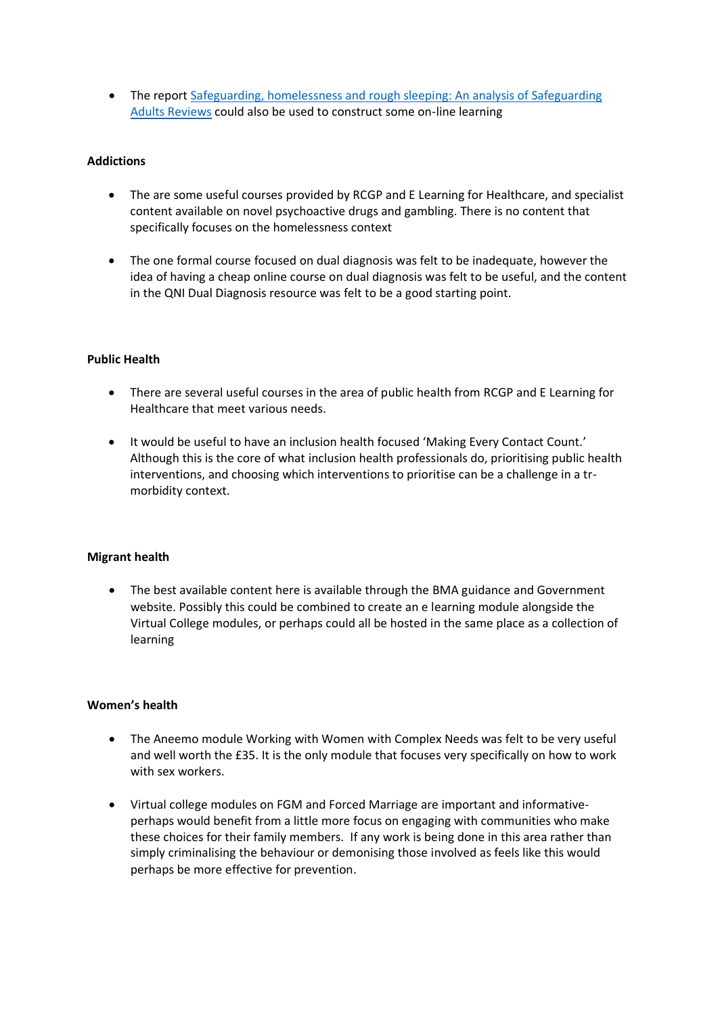• The report Safeguarding, homelessness and rough sleeping: An analysis of Safeguarding [Adults Reviews](https://kclpure.kcl.ac.uk/portal/en/publications/safeguarding-homelessness-and-rough-sleeping(8500d110-7a16-47c2-bba7-dd5b33b42d7e).html) could also be used to construct some on-line learning

# **Addictions**

- The are some useful courses provided by RCGP and E Learning for Healthcare, and specialist content available on novel psychoactive drugs and gambling. There is no content that specifically focuses on the homelessness context
- The one formal course focused on dual diagnosis was felt to be inadequate, however the idea of having a cheap online course on dual diagnosis was felt to be useful, and the content in the QNI Dual Diagnosis resource was felt to be a good starting point.

#### **Public Health**

- There are several useful courses in the area of public health from RCGP and E Learning for Healthcare that meet various needs.
- It would be useful to have an inclusion health focused 'Making Every Contact Count.' Although this is the core of what inclusion health professionals do, prioritising public health interventions, and choosing which interventions to prioritise can be a challenge in a trmorbidity context.

#### **Migrant health**

• The best available content here is available through the BMA guidance and Government website. Possibly this could be combined to create an e learning module alongside the Virtual College modules, or perhaps could all be hosted in the same place as a collection of learning

#### **Women's health**

- The Aneemo module Working with Women with Complex Needs was felt to be very useful and well worth the £35. It is the only module that focuses very specifically on how to work with sex workers.
- Virtual college modules on FGM and Forced Marriage are important and informativeperhaps would benefit from a little more focus on engaging with communities who make these choices for their family members. If any work is being done in this area rather than simply criminalising the behaviour or demonising those involved as feels like this would perhaps be more effective for prevention.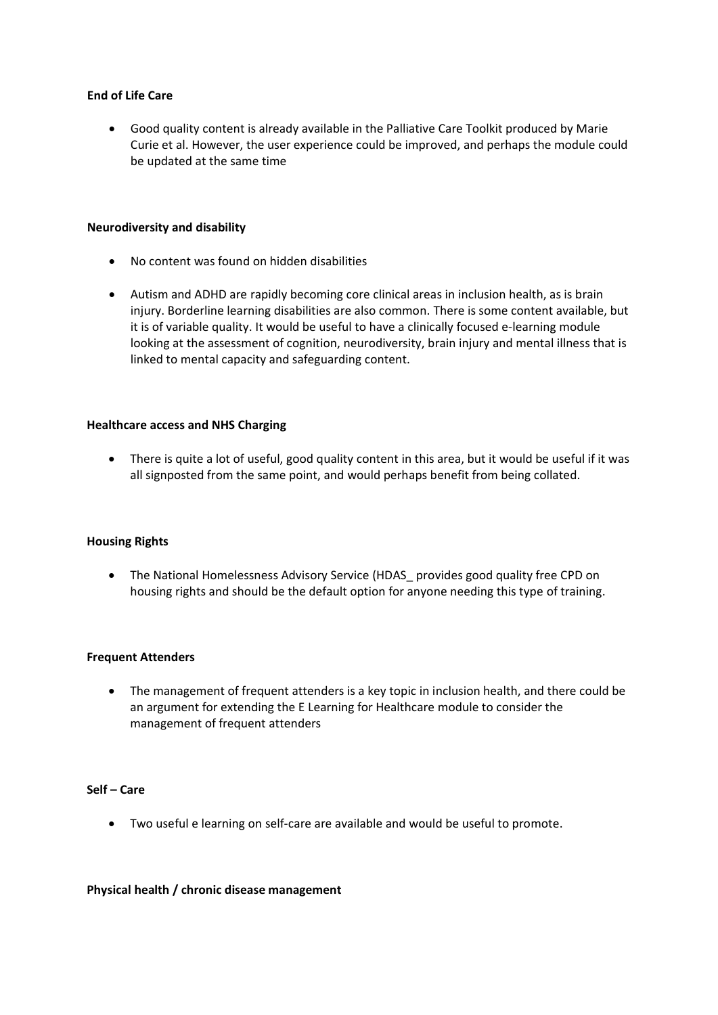#### **End of Life Care**

• Good quality content is already available in the Palliative Care Toolkit produced by Marie Curie et al. However, the user experience could be improved, and perhaps the module could be updated at the same time

#### **Neurodiversity and disability**

- No content was found on hidden disabilities
- Autism and ADHD are rapidly becoming core clinical areas in inclusion health, as is brain injury. Borderline learning disabilities are also common. There is some content available, but it is of variable quality. It would be useful to have a clinically focused e-learning module looking at the assessment of cognition, neurodiversity, brain injury and mental illness that is linked to mental capacity and safeguarding content.

#### **Healthcare access and NHS Charging**

• There is quite a lot of useful, good quality content in this area, but it would be useful if it was all signposted from the same point, and would perhaps benefit from being collated.

#### **Housing Rights**

• The National Homelessness Advisory Service (HDAS\_ provides good quality free CPD on housing rights and should be the default option for anyone needing this type of training.

#### **Frequent Attenders**

• The management of frequent attenders is a key topic in inclusion health, and there could be an argument for extending the E Learning for Healthcare module to consider the management of frequent attenders

#### **Self – Care**

• Two useful e learning on self-care are available and would be useful to promote.

#### **Physical health / chronic disease management**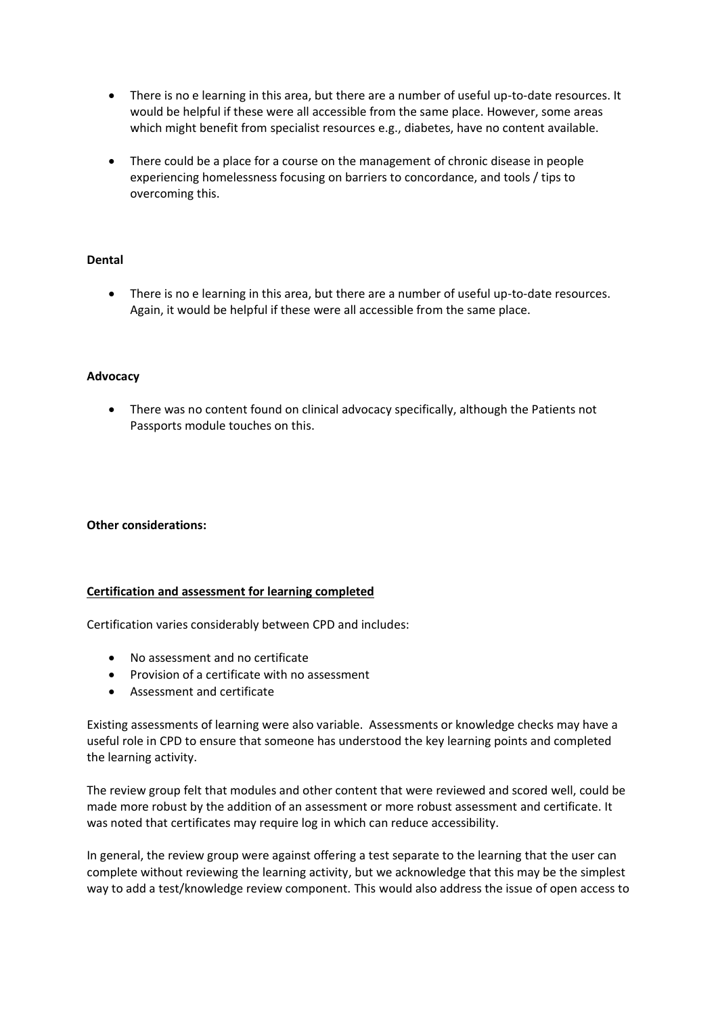- There is no e learning in this area, but there are a number of useful up-to-date resources. It would be helpful if these were all accessible from the same place. However, some areas which might benefit from specialist resources e.g., diabetes, have no content available.
- There could be a place for a course on the management of chronic disease in people experiencing homelessness focusing on barriers to concordance, and tools / tips to overcoming this.

#### **Dental**

• There is no e learning in this area, but there are a number of useful up-to-date resources. Again, it would be helpful if these were all accessible from the same place.

#### **Advocacy**

• There was no content found on clinical advocacy specifically, although the Patients not Passports module touches on this.

#### **Other considerations:**

#### **Certification and assessment for learning completed**

Certification varies considerably between CPD and includes:

- No assessment and no certificate
- Provision of a certificate with no assessment
- Assessment and certificate

Existing assessments of learning were also variable. Assessments or knowledge checks may have a useful role in CPD to ensure that someone has understood the key learning points and completed the learning activity.

The review group felt that modules and other content that were reviewed and scored well, could be made more robust by the addition of an assessment or more robust assessment and certificate. It was noted that certificates may require log in which can reduce accessibility.

In general, the review group were against offering a test separate to the learning that the user can complete without reviewing the learning activity, but we acknowledge that this may be the simplest way to add a test/knowledge review component. This would also address the issue of open access to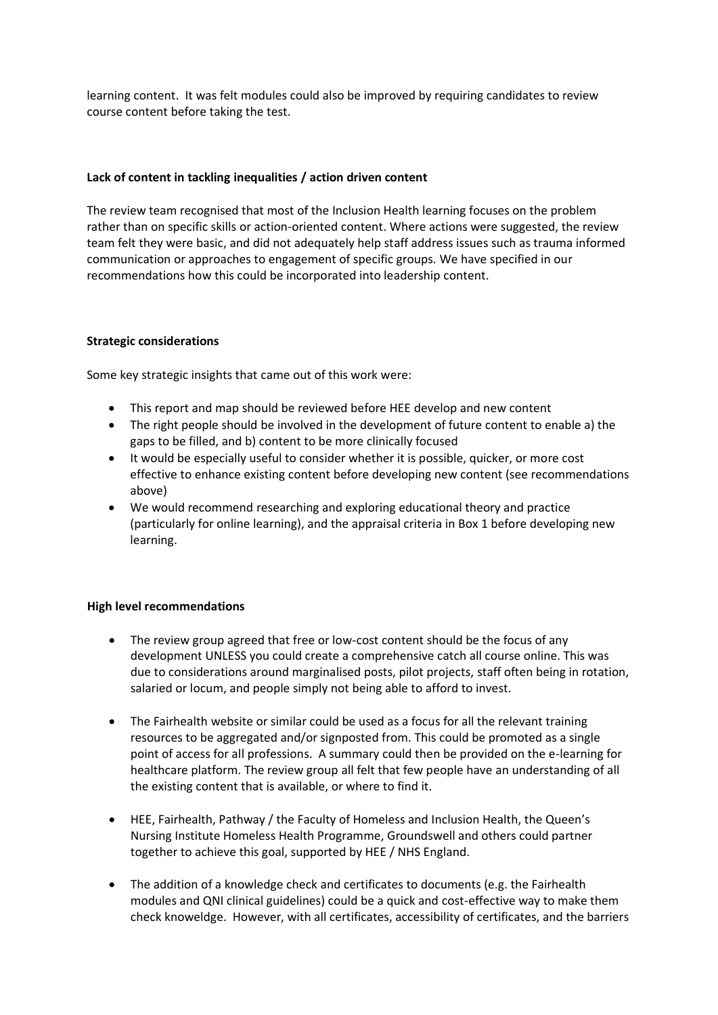learning content. It was felt modules could also be improved by requiring candidates to review course content before taking the test.

### **Lack of content in tackling inequalities / action driven content**

The review team recognised that most of the Inclusion Health learning focuses on the problem rather than on specific skills or action-oriented content. Where actions were suggested, the review team felt they were basic, and did not adequately help staff address issues such as trauma informed communication or approaches to engagement of specific groups. We have specified in our recommendations how this could be incorporated into leadership content.

# **Strategic considerations**

Some key strategic insights that came out of this work were:

- This report and map should be reviewed before HEE develop and new content
- The right people should be involved in the development of future content to enable a) the gaps to be filled, and b) content to be more clinically focused
- It would be especially useful to consider whether it is possible, quicker, or more cost effective to enhance existing content before developing new content (see recommendations above)
- We would recommend researching and exploring educational theory and practice (particularly for online learning), and the appraisal criteria in Box 1 before developing new learning.

#### **High level recommendations**

- The review group agreed that free or low-cost content should be the focus of any development UNLESS you could create a comprehensive catch all course online. This was due to considerations around marginalised posts, pilot projects, staff often being in rotation, salaried or locum, and people simply not being able to afford to invest.
- The Fairhealth website or similar could be used as a focus for all the relevant training resources to be aggregated and/or signposted from. This could be promoted as a single point of access for all professions. A summary could then be provided on the e-learning for healthcare platform. The review group all felt that few people have an understanding of all the existing content that is available, or where to find it.
- HEE, Fairhealth, Pathway / the Faculty of Homeless and Inclusion Health, the Queen's Nursing Institute Homeless Health Programme, Groundswell and others could partner together to achieve this goal, supported by HEE / NHS England.
- The addition of a knowledge check and certificates to documents (e.g. the Fairhealth modules and QNI clinical guidelines) could be a quick and cost-effective way to make them check knoweldge. However, with all certificates, accessibility of certificates, and the barriers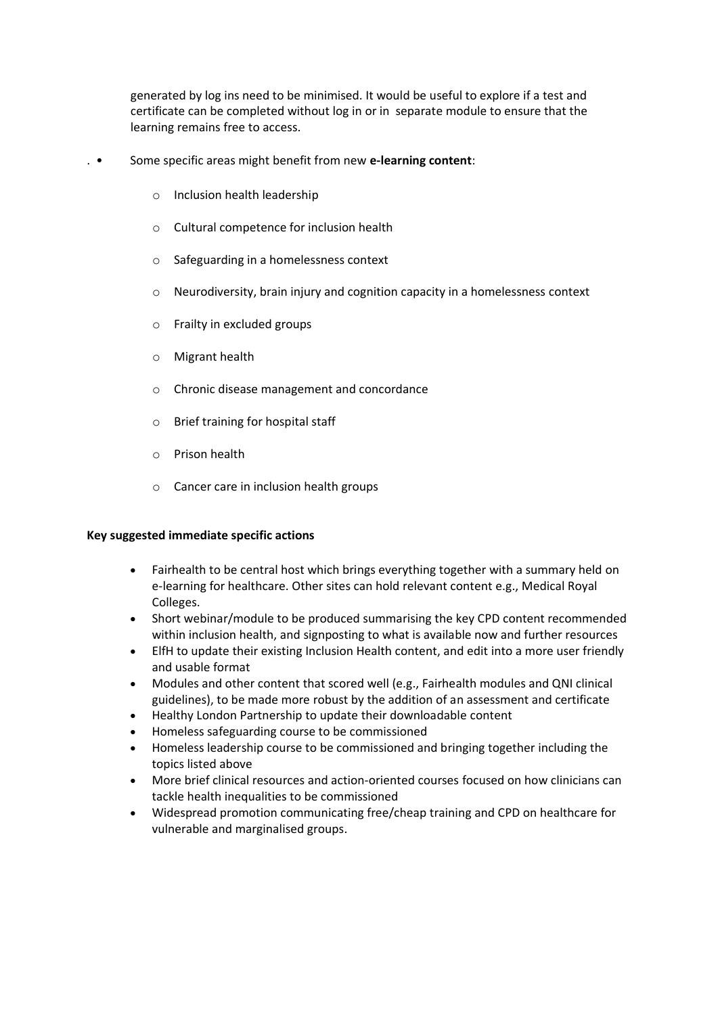generated by log ins need to be minimised. It would be useful to explore if a test and certificate can be completed without log in or in separate module to ensure that the learning remains free to access.

- . Some specific areas might benefit from new **e-learning content**:
	- o Inclusion health leadership
	- o Cultural competence for inclusion health
	- o Safeguarding in a homelessness context
	- o Neurodiversity, brain injury and cognition capacity in a homelessness context
	- o Frailty in excluded groups
	- o Migrant health
	- o Chronic disease management and concordance
	- o Brief training for hospital staff
	- o Prison health
	- o Cancer care in inclusion health groups

#### **Key suggested immediate specific actions**

- Fairhealth to be central host which brings everything together with a summary held on e-learning for healthcare. Other sites can hold relevant content e.g., Medical Royal Colleges.
- Short webinar/module to be produced summarising the key CPD content recommended within inclusion health, and signposting to what is available now and further resources
- ElfH to update their existing Inclusion Health content, and edit into a more user friendly and usable format
- Modules and other content that scored well (e.g., Fairhealth modules and QNI clinical guidelines), to be made more robust by the addition of an assessment and certificate
- Healthy London Partnership to update their downloadable content
- Homeless safeguarding course to be commissioned
- Homeless leadership course to be commissioned and bringing together including the topics listed above
- More brief clinical resources and action-oriented courses focused on how clinicians can tackle health inequalities to be commissioned
- Widespread promotion communicating free/cheap training and CPD on healthcare for vulnerable and marginalised groups.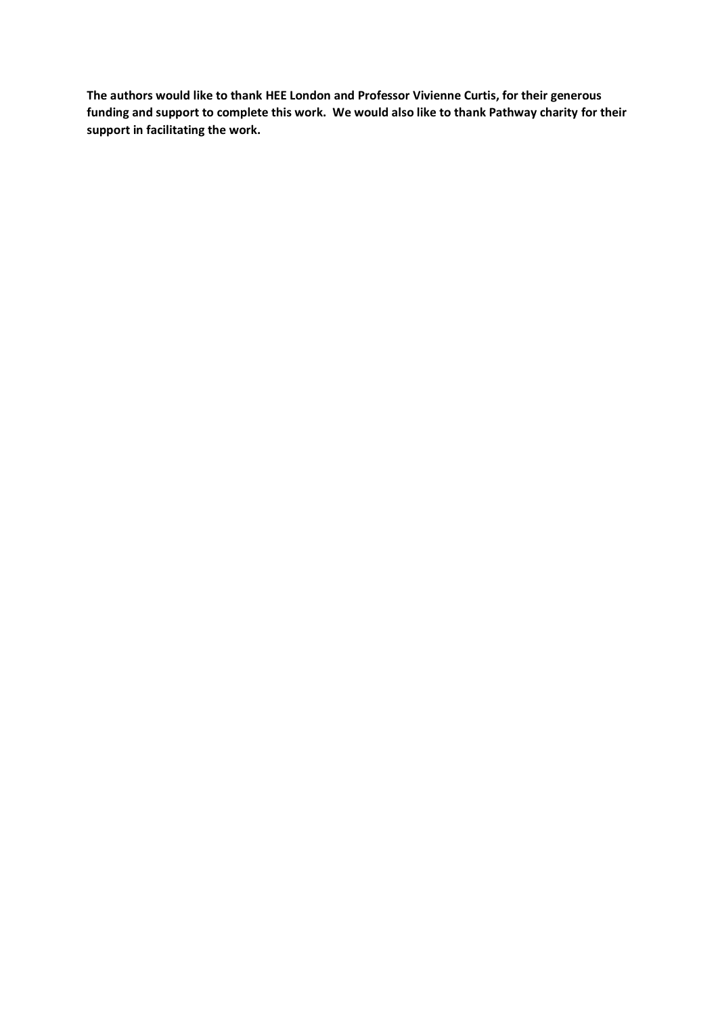**The authors would like to thank HEE London and Professor Vivienne Curtis, for their generous funding and support to complete this work. We would also like to thank Pathway charity for their support in facilitating the work.**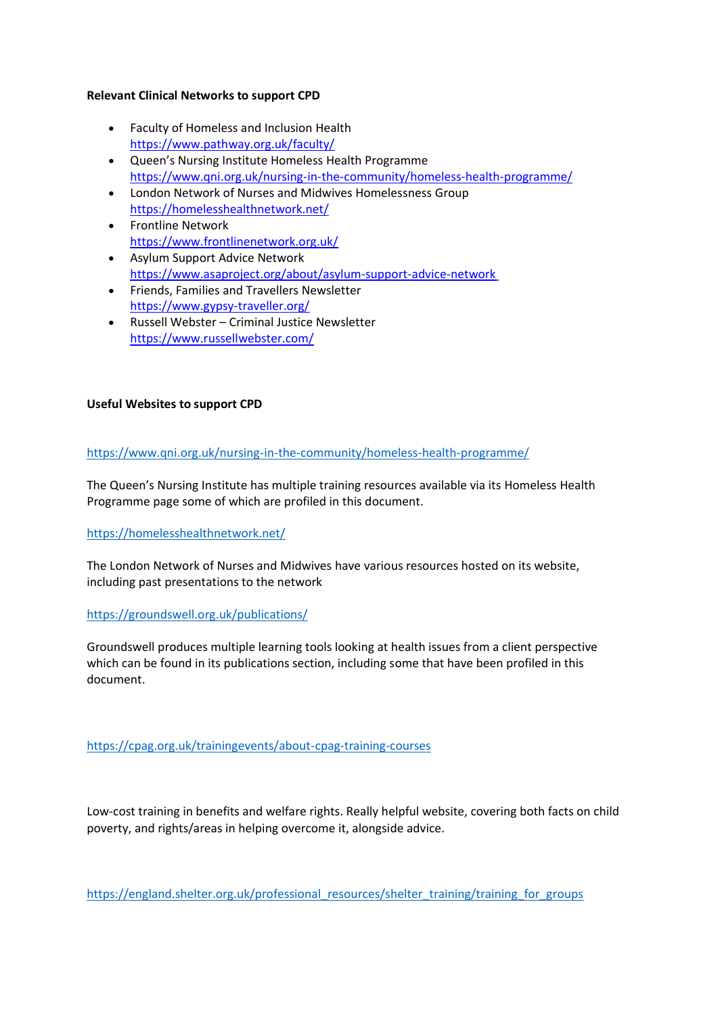### **Relevant Clinical Networks to support CPD**

- Faculty of Homeless and Inclusion Health <https://www.pathway.org.uk/faculty/>
- Queen's Nursing Institute Homeless Health Programme <https://www.qni.org.uk/nursing-in-the-community/homeless-health-programme/>
- London Network of Nurses and Midwives Homelessness Group <https://homelesshealthnetwork.net/>
- Frontline Network <https://www.frontlinenetwork.org.uk/>
- Asylum Support Advice Network <https://www.asaproject.org/about/asylum-support-advice-network>
- Friends, Families and Travellers Newsletter <https://www.gypsy-traveller.org/>
- Russell Webster Criminal Justice Newsletter <https://www.russellwebster.com/>

# **Useful Websites to support CPD**

<https://www.qni.org.uk/nursing-in-the-community/homeless-health-programme/>

The Queen's Nursing Institute has multiple training resources available via its Homeless Health Programme page some of which are profiled in this document.

# <https://homelesshealthnetwork.net/>

The London Network of Nurses and Midwives have various resources hosted on its website, including past presentations to the network

# <https://groundswell.org.uk/publications/>

Groundswell produces multiple learning tools looking at health issues from a client perspective which can be found in its publications section, including some that have been profiled in this document.

<https://cpag.org.uk/trainingevents/about-cpag-training-courses>

Low-cost training in benefits and welfare rights. Really helpful website, covering both facts on child poverty, and rights/areas in helping overcome it, alongside advice.

[https://england.shelter.org.uk/professional\\_resources/shelter\\_training/training\\_for\\_groups](https://england.shelter.org.uk/professional_resources/shelter_training/training_for_groups)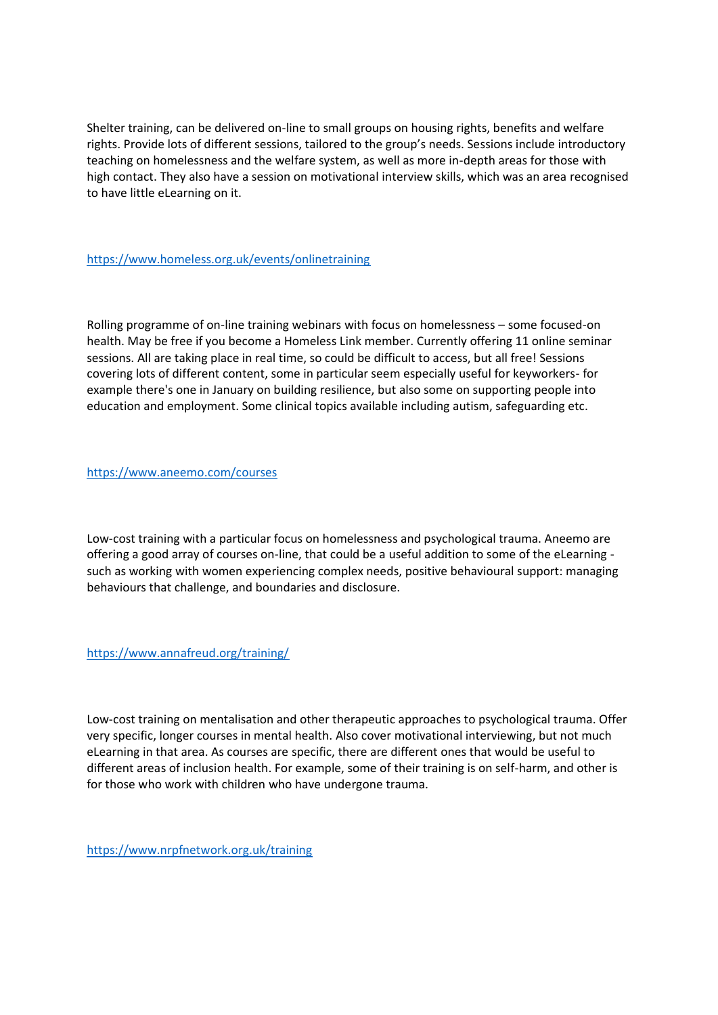Shelter training, can be delivered on-line to small groups on housing rights, benefits and welfare rights. Provide lots of different sessions, tailored to the group's needs. Sessions include introductory teaching on homelessness and the welfare system, as well as more in-depth areas for those with high contact. They also have a session on motivational interview skills, which was an area recognised to have little eLearning on it.

<https://www.homeless.org.uk/events/onlinetraining>

Rolling programme of on-line training webinars with focus on homelessness – some focused-on health. May be free if you become a Homeless Link member. Currently offering 11 online seminar sessions. All are taking place in real time, so could be difficult to access, but all free! Sessions covering lots of different content, some in particular seem especially useful for keyworkers- for example there's one in January on building resilience, but also some on supporting people into education and employment. Some clinical topics available including autism, safeguarding etc.

<https://www.aneemo.com/courses>

Low-cost training with a particular focus on homelessness and psychological trauma. Aneemo are offering a good array of courses on-line, that could be a useful addition to some of the eLearning such as working with women experiencing complex needs, positive behavioural support: managing behaviours that challenge, and boundaries and disclosure.

<https://www.annafreud.org/training/>

Low-cost training on mentalisation and other therapeutic approaches to psychological trauma. Offer very specific, longer courses in mental health. Also cover motivational interviewing, but not much eLearning in that area. As courses are specific, there are different ones that would be useful to different areas of inclusion health. For example, some of their training is on self-harm, and other is for those who work with children who have undergone trauma.

<https://www.nrpfnetwork.org.uk/training>